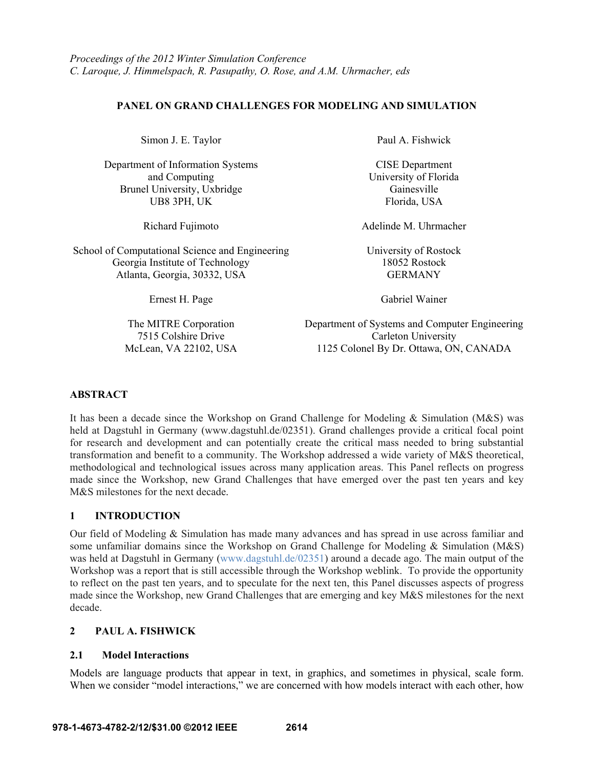### **PANEL ON GRAND CHALLENGES FOR MODELING AND SIMULATION**

Simon J. E. Taylor Paul A. Fishwick

Department of Information Systems and Computing Brunel University, Uxbridge UB8 3PH, UK

School of Computational Science and Engineering Georgia Institute of Technology Atlanta, Georgia, 30332, USA

The MITRE Corporation 7515 Colshire Drive McLean, VA 22102, USA

CISE Department University of Florida Gainesville Florida, USA

Richard Fujimoto **Adelinde M. Uhrmacher** 

University of Rostock 18052 Rostock GERMANY

Ernest H. Page Gabriel Wainer

Department of Systems and Computer Engineering Carleton University 1125 Colonel By Dr. Ottawa, ON, CANADA

## **ABSTRACT**

It has been a decade since the Workshop on Grand Challenge for Modeling & Simulation (M&S) was held at Dagstuhl in Germany (www.dagstuhl.de/02351). Grand challenges provide a critical focal point for research and development and can potentially create the critical mass needed to bring substantial transformation and benefit to a community. The Workshop addressed a wide variety of M&S theoretical, methodological and technological issues across many application areas. This Panel reflects on progress made since the Workshop, new Grand Challenges that have emerged over the past ten years and key M&S milestones for the next decade.

## **1 INTRODUCTION**

Our field of Modeling & Simulation has made many advances and has spread in use across familiar and some unfamiliar domains since the Workshop on Grand Challenge for Modeling & Simulation (M&S) was held at Dagstuhl in Germany (www.dagstuhl.de/02351) around a decade ago. The main output of the Workshop was a report that is still accessible through the Workshop weblink. To provide the opportunity to reflect on the past ten years, and to speculate for the next ten, this Panel discusses aspects of progress made since the Workshop, new Grand Challenges that are emerging and key M&S milestones for the next decade.

# **2 PAUL A. FISHWICK**

## **2.1 Model Interactions**

Models are language products that appear in text, in graphics, and sometimes in physical, scale form. When we consider "model interactions," we are concerned with how models interact with each other, how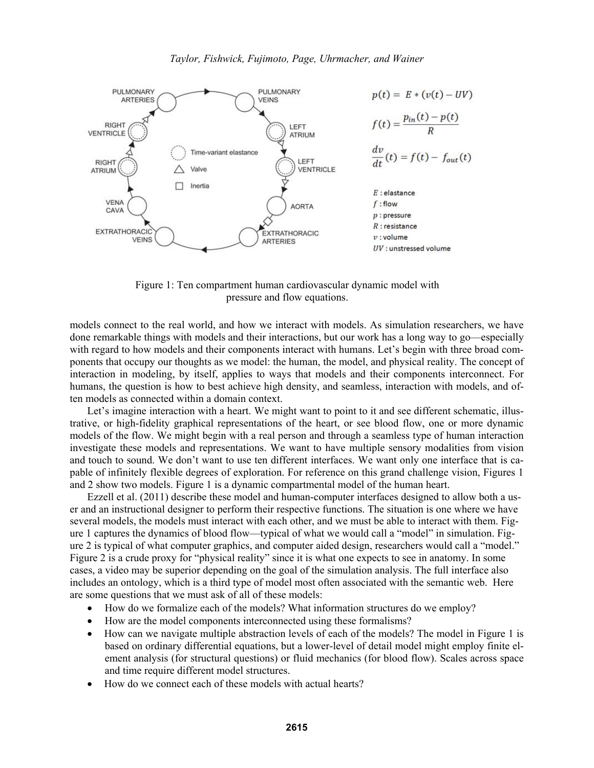

Figure 1: Ten compartment human cardiovascular dynamic model with pressure and flow equations.

models connect to the real world, and how we interact with models. As simulation researchers, we have done remarkable things with models and their interactions, but our work has a long way to go—especially with regard to how models and their components interact with humans. Let's begin with three broad components that occupy our thoughts as we model: the human, the model, and physical reality. The concept of interaction in modeling, by itself, applies to ways that models and their components interconnect. For humans, the question is how to best achieve high density, and seamless, interaction with models, and often models as connected within a domain context.

Let's imagine interaction with a heart. We might want to point to it and see different schematic, illustrative, or high-fidelity graphical representations of the heart, or see blood flow, one or more dynamic models of the flow. We might begin with a real person and through a seamless type of human interaction investigate these models and representations. We want to have multiple sensory modalities from vision and touch to sound. We don't want to use ten different interfaces. We want only one interface that is capable of infinitely flexible degrees of exploration. For reference on this grand challenge vision, Figures 1 and 2 show two models. Figure 1 is a dynamic compartmental model of the human heart.

Ezzell et al. (2011) describe these model and human-computer interfaces designed to allow both a user and an instructional designer to perform their respective functions. The situation is one where we have several models, the models must interact with each other, and we must be able to interact with them. Figure 1 captures the dynamics of blood flow—typical of what we would call a "model" in simulation. Figure 2 is typical of what computer graphics, and computer aided design, researchers would call a "model." Figure 2 is a crude proxy for "physical reality" since it is what one expects to see in anatomy. In some cases, a video may be superior depending on the goal of the simulation analysis. The full interface also includes an ontology, which is a third type of model most often associated with the semantic web. Here are some questions that we must ask of all of these models:

- How do we formalize each of the models? What information structures do we employ?
- How are the model components interconnected using these formalisms?
- How can we navigate multiple abstraction levels of each of the models? The model in Figure 1 is based on ordinary differential equations, but a lower-level of detail model might employ finite element analysis (for structural questions) or fluid mechanics (for blood flow). Scales across space and time require different model structures.
- How do we connect each of these models with actual hearts?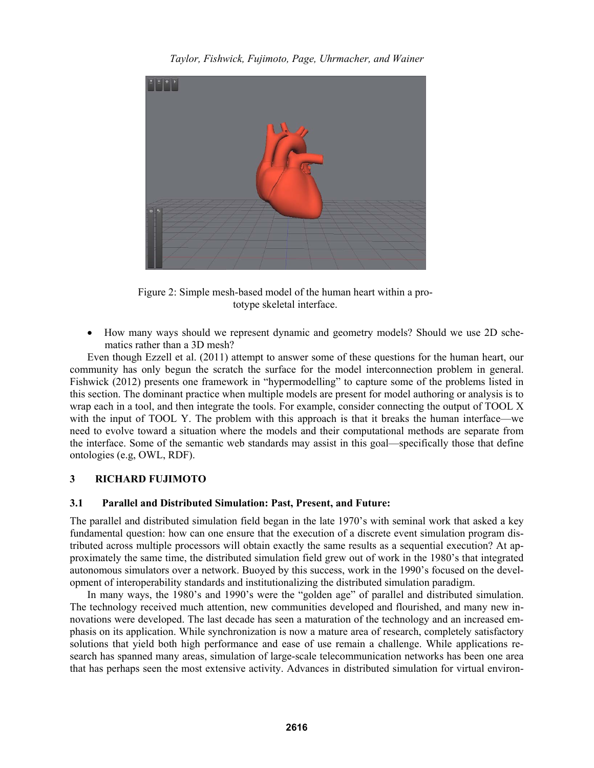

Figure 2: Simple mesh-based model of the human heart within a prototype skeletal interface.

 How many ways should we represent dynamic and geometry models? Should we use 2D schematics rather than a 3D mesh?

Even though Ezzell et al. (2011) attempt to answer some of these questions for the human heart, our community has only begun the scratch the surface for the model interconnection problem in general. Fishwick (2012) presents one framework in "hypermodelling" to capture some of the problems listed in this section. The dominant practice when multiple models are present for model authoring or analysis is to wrap each in a tool, and then integrate the tools. For example, consider connecting the output of TOOL X with the input of TOOL Y. The problem with this approach is that it breaks the human interface—we need to evolve toward a situation where the models and their computational methods are separate from the interface. Some of the semantic web standards may assist in this goal—specifically those that define ontologies (e.g, OWL, RDF).

## **3 RICHARD FUJIMOTO**

## **3.1 Parallel and Distributed Simulation: Past, Present, and Future:**

The parallel and distributed simulation field began in the late 1970's with seminal work that asked a key fundamental question: how can one ensure that the execution of a discrete event simulation program distributed across multiple processors will obtain exactly the same results as a sequential execution? At approximately the same time, the distributed simulation field grew out of work in the 1980's that integrated autonomous simulators over a network. Buoyed by this success, work in the 1990's focused on the development of interoperability standards and institutionalizing the distributed simulation paradigm.

 In many ways, the 1980's and 1990's were the "golden age" of parallel and distributed simulation. The technology received much attention, new communities developed and flourished, and many new innovations were developed. The last decade has seen a maturation of the technology and an increased emphasis on its application. While synchronization is now a mature area of research, completely satisfactory solutions that yield both high performance and ease of use remain a challenge. While applications research has spanned many areas, simulation of large-scale telecommunication networks has been one area that has perhaps seen the most extensive activity. Advances in distributed simulation for virtual environ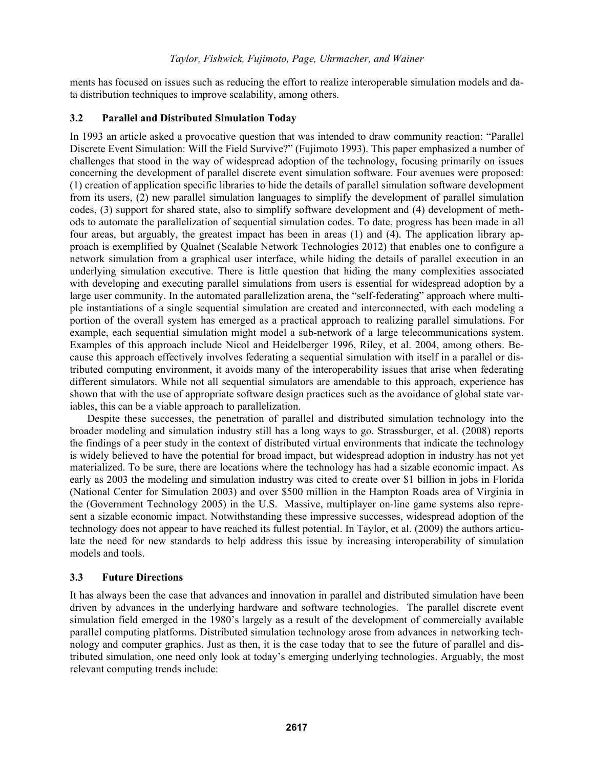ments has focused on issues such as reducing the effort to realize interoperable simulation models and data distribution techniques to improve scalability, among others.

## **3.2 Parallel and Distributed Simulation Today**

In 1993 an article asked a provocative question that was intended to draw community reaction: "Parallel Discrete Event Simulation: Will the Field Survive?" (Fujimoto 1993). This paper emphasized a number of challenges that stood in the way of widespread adoption of the technology, focusing primarily on issues concerning the development of parallel discrete event simulation software. Four avenues were proposed: (1) creation of application specific libraries to hide the details of parallel simulation software development from its users, (2) new parallel simulation languages to simplify the development of parallel simulation codes, (3) support for shared state, also to simplify software development and (4) development of methods to automate the parallelization of sequential simulation codes. To date, progress has been made in all four areas, but arguably, the greatest impact has been in areas (1) and (4). The application library approach is exemplified by Qualnet (Scalable Network Technologies 2012) that enables one to configure a network simulation from a graphical user interface, while hiding the details of parallel execution in an underlying simulation executive. There is little question that hiding the many complexities associated with developing and executing parallel simulations from users is essential for widespread adoption by a large user community. In the automated parallelization arena, the "self-federating" approach where multiple instantiations of a single sequential simulation are created and interconnected, with each modeling a portion of the overall system has emerged as a practical approach to realizing parallel simulations. For example, each sequential simulation might model a sub-network of a large telecommunications system. Examples of this approach include Nicol and Heidelberger 1996, Riley, et al. 2004, among others. Because this approach effectively involves federating a sequential simulation with itself in a parallel or distributed computing environment, it avoids many of the interoperability issues that arise when federating different simulators. While not all sequential simulators are amendable to this approach, experience has shown that with the use of appropriate software design practices such as the avoidance of global state variables, this can be a viable approach to parallelization.

 Despite these successes, the penetration of parallel and distributed simulation technology into the broader modeling and simulation industry still has a long ways to go. Strassburger, et al. (2008) reports the findings of a peer study in the context of distributed virtual environments that indicate the technology is widely believed to have the potential for broad impact, but widespread adoption in industry has not yet materialized. To be sure, there are locations where the technology has had a sizable economic impact. As early as 2003 the modeling and simulation industry was cited to create over \$1 billion in jobs in Florida (National Center for Simulation 2003) and over \$500 million in the Hampton Roads area of Virginia in the (Government Technology 2005) in the U.S. Massive, multiplayer on-line game systems also represent a sizable economic impact. Notwithstanding these impressive successes, widespread adoption of the technology does not appear to have reached its fullest potential. In Taylor, et al. (2009) the authors articulate the need for new standards to help address this issue by increasing interoperability of simulation models and tools.

## **3.3 Future Directions**

It has always been the case that advances and innovation in parallel and distributed simulation have been driven by advances in the underlying hardware and software technologies. The parallel discrete event simulation field emerged in the 1980's largely as a result of the development of commercially available parallel computing platforms. Distributed simulation technology arose from advances in networking technology and computer graphics. Just as then, it is the case today that to see the future of parallel and distributed simulation, one need only look at today's emerging underlying technologies. Arguably, the most relevant computing trends include: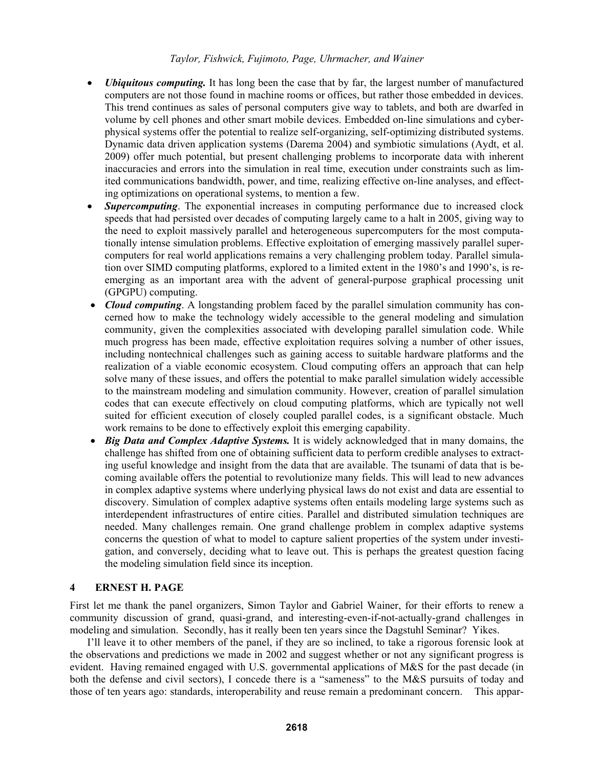- *Ubiquitous computing.* It has long been the case that by far, the largest number of manufactured computers are not those found in machine rooms or offices, but rather those embedded in devices. This trend continues as sales of personal computers give way to tablets, and both are dwarfed in volume by cell phones and other smart mobile devices. Embedded on-line simulations and cyberphysical systems offer the potential to realize self-organizing, self-optimizing distributed systems. Dynamic data driven application systems (Darema 2004) and symbiotic simulations (Aydt, et al. 2009) offer much potential, but present challenging problems to incorporate data with inherent inaccuracies and errors into the simulation in real time, execution under constraints such as limited communications bandwidth, power, and time, realizing effective on-line analyses, and effecting optimizations on operational systems, to mention a few.
- **Supercomputing**. The exponential increases in computing performance due to increased clock speeds that had persisted over decades of computing largely came to a halt in 2005, giving way to the need to exploit massively parallel and heterogeneous supercomputers for the most computationally intense simulation problems. Effective exploitation of emerging massively parallel supercomputers for real world applications remains a very challenging problem today. Parallel simulation over SIMD computing platforms, explored to a limited extent in the 1980's and 1990's, is reemerging as an important area with the advent of general-purpose graphical processing unit (GPGPU) computing.
- *Cloud computing*. A longstanding problem faced by the parallel simulation community has concerned how to make the technology widely accessible to the general modeling and simulation community, given the complexities associated with developing parallel simulation code. While much progress has been made, effective exploitation requires solving a number of other issues, including nontechnical challenges such as gaining access to suitable hardware platforms and the realization of a viable economic ecosystem. Cloud computing offers an approach that can help solve many of these issues, and offers the potential to make parallel simulation widely accessible to the mainstream modeling and simulation community. However, creation of parallel simulation codes that can execute effectively on cloud computing platforms, which are typically not well suited for efficient execution of closely coupled parallel codes, is a significant obstacle. Much work remains to be done to effectively exploit this emerging capability.
- *Big Data and Complex Adaptive Systems*. It is widely acknowledged that in many domains, the challenge has shifted from one of obtaining sufficient data to perform credible analyses to extracting useful knowledge and insight from the data that are available. The tsunami of data that is becoming available offers the potential to revolutionize many fields. This will lead to new advances in complex adaptive systems where underlying physical laws do not exist and data are essential to discovery. Simulation of complex adaptive systems often entails modeling large systems such as interdependent infrastructures of entire cities. Parallel and distributed simulation techniques are needed. Many challenges remain. One grand challenge problem in complex adaptive systems concerns the question of what to model to capture salient properties of the system under investigation, and conversely, deciding what to leave out. This is perhaps the greatest question facing the modeling simulation field since its inception.

#### **4 ERNEST H. PAGE**

First let me thank the panel organizers, Simon Taylor and Gabriel Wainer, for their efforts to renew a community discussion of grand, quasi-grand, and interesting-even-if-not-actually-grand challenges in modeling and simulation. Secondly, has it really been ten years since the Dagstuhl Seminar? Yikes.

 I'll leave it to other members of the panel, if they are so inclined, to take a rigorous forensic look at the observations and predictions we made in 2002 and suggest whether or not any significant progress is evident. Having remained engaged with U.S. governmental applications of M&S for the past decade (in both the defense and civil sectors), I concede there is a "sameness" to the M&S pursuits of today and those of ten years ago: standards, interoperability and reuse remain a predominant concern. This appar-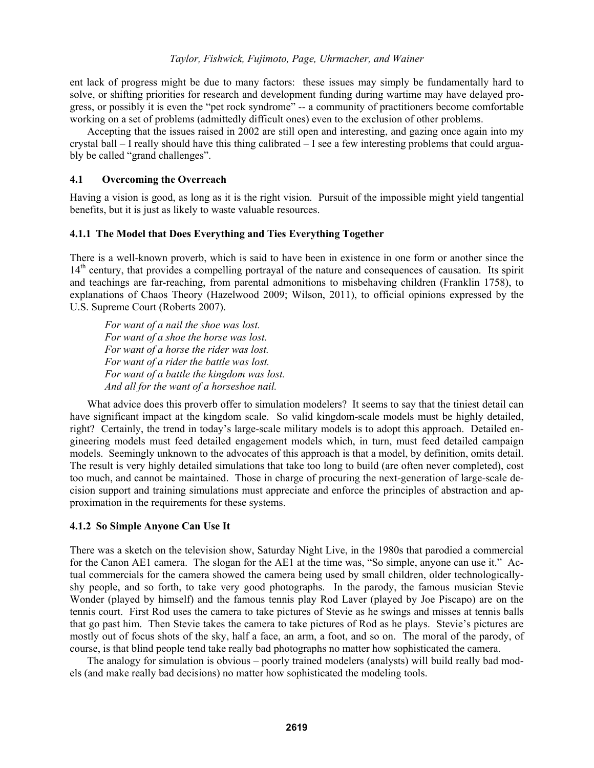ent lack of progress might be due to many factors: these issues may simply be fundamentally hard to solve, or shifting priorities for research and development funding during wartime may have delayed progress, or possibly it is even the "pet rock syndrome" -- a community of practitioners become comfortable working on a set of problems (admittedly difficult ones) even to the exclusion of other problems.

 Accepting that the issues raised in 2002 are still open and interesting, and gazing once again into my crystal ball – I really should have this thing calibrated – I see a few interesting problems that could arguably be called "grand challenges".

#### **4.1 Overcoming the Overreach**

Having a vision is good, as long as it is the right vision. Pursuit of the impossible might yield tangential benefits, but it is just as likely to waste valuable resources.

#### **4.1.1 The Model that Does Everything and Ties Everything Together**

There is a well-known proverb, which is said to have been in existence in one form or another since the 14<sup>th</sup> century, that provides a compelling portrayal of the nature and consequences of causation. Its spirit and teachings are far-reaching, from parental admonitions to misbehaving children (Franklin 1758), to explanations of Chaos Theory (Hazelwood 2009; Wilson, 2011), to official opinions expressed by the U.S. Supreme Court (Roberts 2007).

*For want of a nail the shoe was lost. For want of a shoe the horse was lost. For want of a horse the rider was lost. For want of a rider the battle was lost. For want of a battle the kingdom was lost. And all for the want of a horseshoe nail.* 

What advice does this proverb offer to simulation modelers? It seems to say that the tiniest detail can have significant impact at the kingdom scale. So valid kingdom-scale models must be highly detailed, right? Certainly, the trend in today's large-scale military models is to adopt this approach. Detailed engineering models must feed detailed engagement models which, in turn, must feed detailed campaign models. Seemingly unknown to the advocates of this approach is that a model, by definition, omits detail. The result is very highly detailed simulations that take too long to build (are often never completed), cost too much, and cannot be maintained. Those in charge of procuring the next-generation of large-scale decision support and training simulations must appreciate and enforce the principles of abstraction and approximation in the requirements for these systems.

#### **4.1.2 So Simple Anyone Can Use It**

There was a sketch on the television show, Saturday Night Live, in the 1980s that parodied a commercial for the Canon AE1 camera. The slogan for the AE1 at the time was, "So simple, anyone can use it." Actual commercials for the camera showed the camera being used by small children, older technologicallyshy people, and so forth, to take very good photographs. In the parody, the famous musician Stevie Wonder (played by himself) and the famous tennis play Rod Laver (played by Joe Piscapo) are on the tennis court. First Rod uses the camera to take pictures of Stevie as he swings and misses at tennis balls that go past him. Then Stevie takes the camera to take pictures of Rod as he plays. Stevie's pictures are mostly out of focus shots of the sky, half a face, an arm, a foot, and so on. The moral of the parody, of course, is that blind people tend take really bad photographs no matter how sophisticated the camera.

 The analogy for simulation is obvious – poorly trained modelers (analysts) will build really bad models (and make really bad decisions) no matter how sophisticated the modeling tools.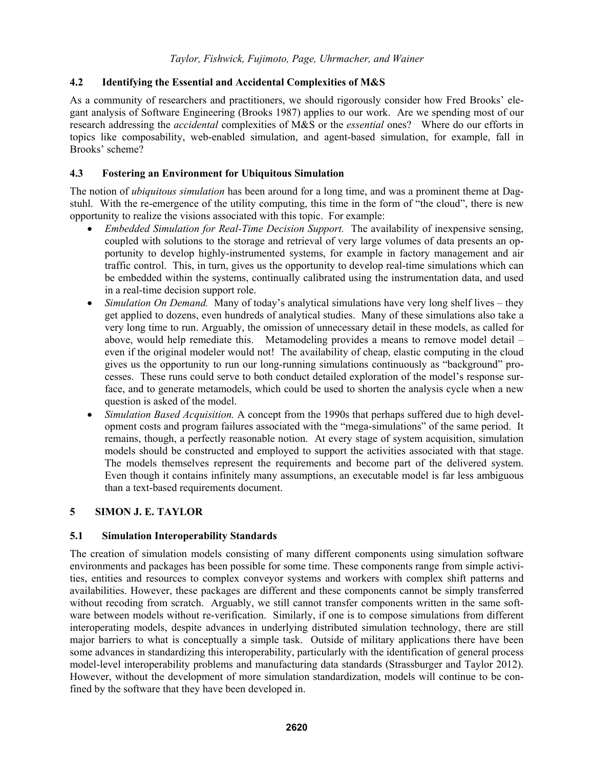# **4.2 Identifying the Essential and Accidental Complexities of M&S**

As a community of researchers and practitioners, we should rigorously consider how Fred Brooks' elegant analysis of Software Engineering (Brooks 1987) applies to our work. Are we spending most of our research addressing the *accidental* complexities of M&S or the *essential* ones? Where do our efforts in topics like composability, web-enabled simulation, and agent-based simulation, for example, fall in Brooks' scheme?

## **4.3 Fostering an Environment for Ubiquitous Simulation**

The notion of *ubiquitous simulation* has been around for a long time, and was a prominent theme at Dagstuhl. With the re-emergence of the utility computing, this time in the form of "the cloud", there is new opportunity to realize the visions associated with this topic. For example:

- *Embedded Simulation for Real-Time Decision Support.* The availability of inexpensive sensing, coupled with solutions to the storage and retrieval of very large volumes of data presents an opportunity to develop highly-instrumented systems, for example in factory management and air traffic control. This, in turn, gives us the opportunity to develop real-time simulations which can be embedded within the systems, continually calibrated using the instrumentation data, and used in a real-time decision support role.
- *Simulation On Demand.* Many of today's analytical simulations have very long shelf lives they get applied to dozens, even hundreds of analytical studies. Many of these simulations also take a very long time to run. Arguably, the omission of unnecessary detail in these models, as called for above, would help remediate this. Metamodeling provides a means to remove model detail – even if the original modeler would not! The availability of cheap, elastic computing in the cloud gives us the opportunity to run our long-running simulations continuously as "background" processes. These runs could serve to both conduct detailed exploration of the model's response surface, and to generate metamodels, which could be used to shorten the analysis cycle when a new question is asked of the model.
- *Simulation Based Acquisition.* A concept from the 1990s that perhaps suffered due to high development costs and program failures associated with the "mega-simulations" of the same period. It remains, though, a perfectly reasonable notion. At every stage of system acquisition, simulation models should be constructed and employed to support the activities associated with that stage. The models themselves represent the requirements and become part of the delivered system. Even though it contains infinitely many assumptions, an executable model is far less ambiguous than a text-based requirements document.

# **5 SIMON J. E. TAYLOR**

## **5.1 Simulation Interoperability Standards**

The creation of simulation models consisting of many different components using simulation software environments and packages has been possible for some time. These components range from simple activities, entities and resources to complex conveyor systems and workers with complex shift patterns and availabilities. However, these packages are different and these components cannot be simply transferred without recoding from scratch. Arguably, we still cannot transfer components written in the same software between models without re-verification. Similarly, if one is to compose simulations from different interoperating models, despite advances in underlying distributed simulation technology, there are still major barriers to what is conceptually a simple task. Outside of military applications there have been some advances in standardizing this interoperability, particularly with the identification of general process model-level interoperability problems and manufacturing data standards (Strassburger and Taylor 2012). However, without the development of more simulation standardization, models will continue to be confined by the software that they have been developed in.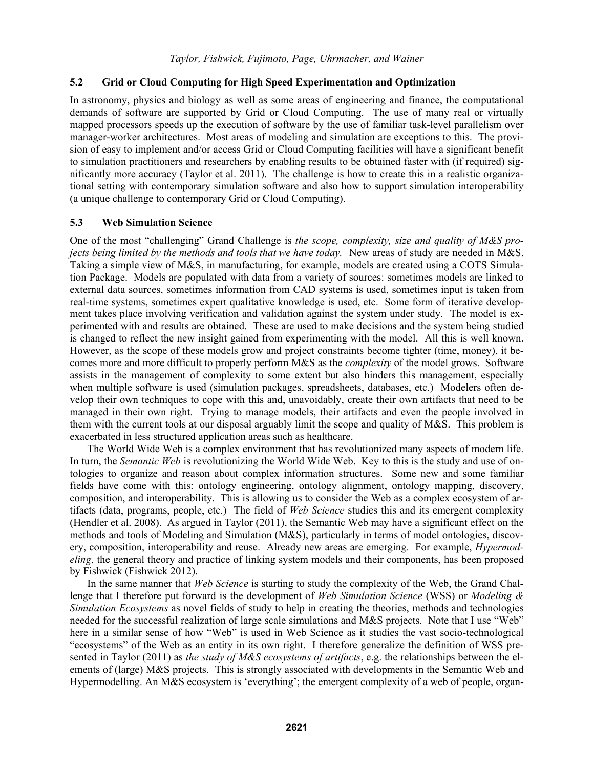## **5.2 Grid or Cloud Computing for High Speed Experimentation and Optimization**

In astronomy, physics and biology as well as some areas of engineering and finance, the computational demands of software are supported by Grid or Cloud Computing. The use of many real or virtually mapped processors speeds up the execution of software by the use of familiar task-level parallelism over manager-worker architectures. Most areas of modeling and simulation are exceptions to this. The provision of easy to implement and/or access Grid or Cloud Computing facilities will have a significant benefit to simulation practitioners and researchers by enabling results to be obtained faster with (if required) significantly more accuracy (Taylor et al. 2011). The challenge is how to create this in a realistic organizational setting with contemporary simulation software and also how to support simulation interoperability (a unique challenge to contemporary Grid or Cloud Computing).

## **5.3 Web Simulation Science**

One of the most "challenging" Grand Challenge is *the scope, complexity, size and quality of M&S projects being limited by the methods and tools that we have today.* New areas of study are needed in M&S. Taking a simple view of M&S, in manufacturing, for example, models are created using a COTS Simulation Package. Models are populated with data from a variety of sources: sometimes models are linked to external data sources, sometimes information from CAD systems is used, sometimes input is taken from real-time systems, sometimes expert qualitative knowledge is used, etc. Some form of iterative development takes place involving verification and validation against the system under study. The model is experimented with and results are obtained. These are used to make decisions and the system being studied is changed to reflect the new insight gained from experimenting with the model. All this is well known. However, as the scope of these models grow and project constraints become tighter (time, money), it becomes more and more difficult to properly perform M&S as the *complexity* of the model grows. Software assists in the management of complexity to some extent but also hinders this management, especially when multiple software is used (simulation packages, spreadsheets, databases, etc.) Modelers often develop their own techniques to cope with this and, unavoidably, create their own artifacts that need to be managed in their own right. Trying to manage models, their artifacts and even the people involved in them with the current tools at our disposal arguably limit the scope and quality of M&S. This problem is exacerbated in less structured application areas such as healthcare.

 The World Wide Web is a complex environment that has revolutionized many aspects of modern life. In turn, the *Semantic Web* is revolutionizing the World Wide Web. Key to this is the study and use of ontologies to organize and reason about complex information structures. Some new and some familiar fields have come with this: ontology engineering, ontology alignment, ontology mapping, discovery, composition, and interoperability. This is allowing us to consider the Web as a complex ecosystem of artifacts (data, programs, people, etc.) The field of *Web Science* studies this and its emergent complexity (Hendler et al. 2008). As argued in Taylor (2011), the Semantic Web may have a significant effect on the methods and tools of Modeling and Simulation (M&S), particularly in terms of model ontologies, discovery, composition, interoperability and reuse. Already new areas are emerging. For example, *Hypermodeling*, the general theory and practice of linking system models and their components, has been proposed by Fishwick (Fishwick 2012).

 In the same manner that *Web Science* is starting to study the complexity of the Web, the Grand Challenge that I therefore put forward is the development of *Web Simulation Science* (WSS) or *Modeling & Simulation Ecosystems* as novel fields of study to help in creating the theories, methods and technologies needed for the successful realization of large scale simulations and M&S projects. Note that I use "Web" here in a similar sense of how "Web" is used in Web Science as it studies the vast socio-technological "ecosystems" of the Web as an entity in its own right. I therefore generalize the definition of WSS presented in Taylor (2011) as *the study of M&S ecosystems of artifacts*, e.g. the relationships between the elements of (large) M&S projects. This is strongly associated with developments in the Semantic Web and Hypermodelling. An M&S ecosystem is 'everything'; the emergent complexity of a web of people, organ-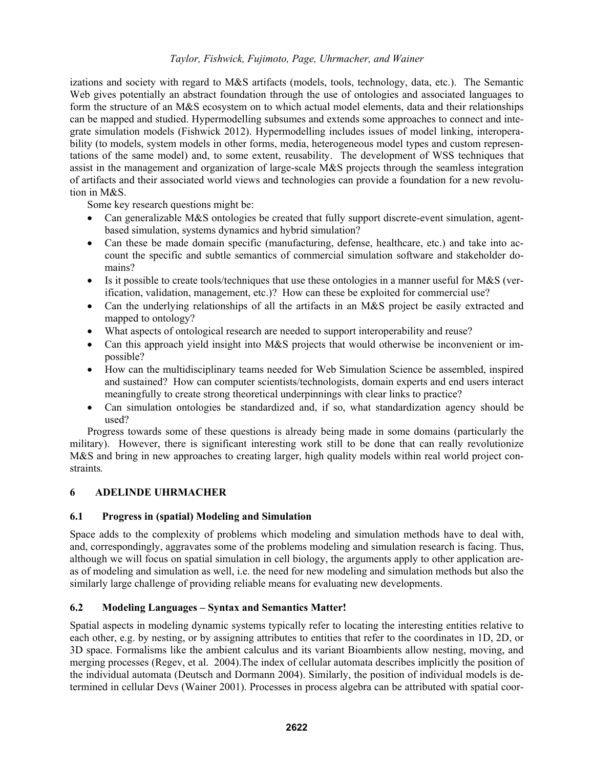izations and society with regard to M&S artifacts (models, tools, technology, data, etc.). The Semantic Web gives potentially an abstract foundation through the use of ontologies and associated languages to form the structure of an M&S ecosystem on to which actual model elements, data and their relationships can be mapped and studied. Hypermodelling subsumes and extends some approaches to connect and integrate simulation models (Fishwick 2012). Hypermodelling includes issues of model linking, interoperability (to models, system models in other forms, media, heterogeneous model types and custom representations of the same model) and, to some extent, reusability. The development of WSS techniques that assist in the management and organization of large-scale M&S projects through the seamless integration of artifacts and their associated world views and technologies can provide a foundation for a new revolution in M&S.

Some key research questions might be:

- Can generalizable M&S ontologies be created that fully support discrete-event simulation, agentbased simulation, systems dynamics and hybrid simulation?
- Can these be made domain specific (manufacturing, defense, healthcare, etc.) and take into account the specific and subtle semantics of commercial simulation software and stakeholder domains?
- Is it possible to create tools/techniques that use these ontologies in a manner useful for M&S (verification, validation, management, etc.)? How can these be exploited for commercial use?
- Can the underlying relationships of all the artifacts in an M&S project be easily extracted and mapped to ontology?
- What aspects of ontological research are needed to support interoperability and reuse?
- Can this approach yield insight into M&S projects that would otherwise be inconvenient or impossible?
- How can the multidisciplinary teams needed for Web Simulation Science be assembled, inspired and sustained? How can computer scientists/technologists, domain experts and end users interact meaningfully to create strong theoretical underpinnings with clear links to practice?
- Can simulation ontologies be standardized and, if so, what standardization agency should be used?

 Progress towards some of these questions is already being made in some domains (particularly the military). However, there is significant interesting work still to be done that can really revolutionize M&S and bring in new approaches to creating larger, high quality models within real world project constraints*.*

# **6 ADELINDE UHRMACHER**

# **6.1 Progress in (spatial) Modeling and Simulation**

Space adds to the complexity of problems which modeling and simulation methods have to deal with, and, correspondingly, aggravates some of the problems modeling and simulation research is facing. Thus, although we will focus on spatial simulation in cell biology, the arguments apply to other application areas of modeling and simulation as well, i.e. the need for new modeling and simulation methods but also the similarly large challenge of providing reliable means for evaluating new developments.

# **6.2 Modeling Languages – Syntax and Semantics Matter!**

Spatial aspects in modeling dynamic systems typically refer to locating the interesting entities relative to each other, e.g. by nesting, or by assigning attributes to entities that refer to the coordinates in 1D, 2D, or 3D space. Formalisms like the ambient calculus and its variant Bioambients allow nesting, moving, and merging processes (Regev, et al. 2004).The index of cellular automata describes implicitly the position of the individual automata (Deutsch and Dormann 2004). Similarly, the position of individual models is determined in cellular Devs (Wainer 2001). Processes in process algebra can be attributed with spatial coor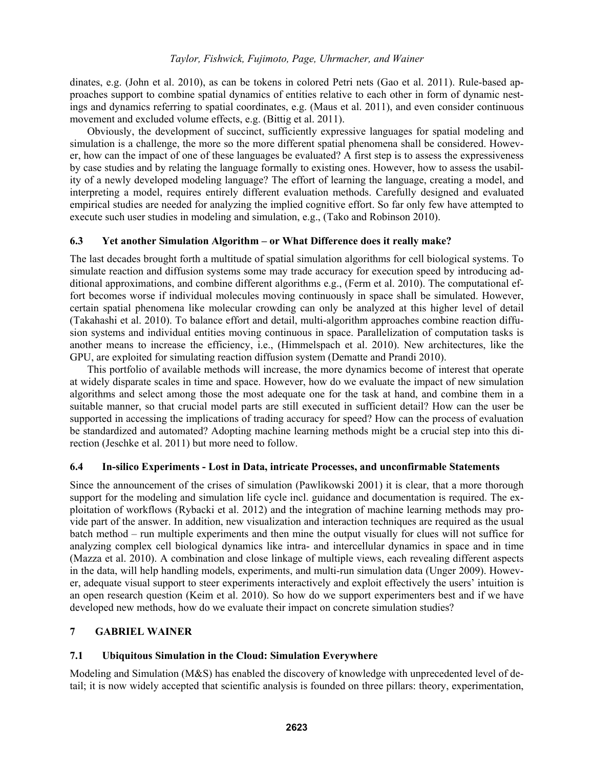dinates, e.g. (John et al. 2010), as can be tokens in colored Petri nets (Gao et al. 2011). Rule-based approaches support to combine spatial dynamics of entities relative to each other in form of dynamic nestings and dynamics referring to spatial coordinates, e.g. (Maus et al. 2011), and even consider continuous movement and excluded volume effects, e.g. (Bittig et al. 2011).

 Obviously, the development of succinct, sufficiently expressive languages for spatial modeling and simulation is a challenge, the more so the more different spatial phenomena shall be considered. However, how can the impact of one of these languages be evaluated? A first step is to assess the expressiveness by case studies and by relating the language formally to existing ones. However, how to assess the usability of a newly developed modeling language? The effort of learning the language, creating a model, and interpreting a model, requires entirely different evaluation methods. Carefully designed and evaluated empirical studies are needed for analyzing the implied cognitive effort. So far only few have attempted to execute such user studies in modeling and simulation, e.g., (Tako and Robinson 2010).

## **6.3 Yet another Simulation Algorithm – or What Difference does it really make?**

The last decades brought forth a multitude of spatial simulation algorithms for cell biological systems. To simulate reaction and diffusion systems some may trade accuracy for execution speed by introducing additional approximations, and combine different algorithms e.g., (Ferm et al. 2010). The computational effort becomes worse if individual molecules moving continuously in space shall be simulated. However, certain spatial phenomena like molecular crowding can only be analyzed at this higher level of detail (Takahashi et al. 2010). To balance effort and detail, multi-algorithm approaches combine reaction diffusion systems and individual entities moving continuous in space. Parallelization of computation tasks is another means to increase the efficiency, i.e., (Himmelspach et al. 2010). New architectures, like the GPU, are exploited for simulating reaction diffusion system (Dematte and Prandi 2010).

 This portfolio of available methods will increase, the more dynamics become of interest that operate at widely disparate scales in time and space. However, how do we evaluate the impact of new simulation algorithms and select among those the most adequate one for the task at hand, and combine them in a suitable manner, so that crucial model parts are still executed in sufficient detail? How can the user be supported in accessing the implications of trading accuracy for speed? How can the process of evaluation be standardized and automated? Adopting machine learning methods might be a crucial step into this direction (Jeschke et al. 2011) but more need to follow.

## **6.4 In-silico Experiments - Lost in Data, intricate Processes, and unconfirmable Statements**

Since the announcement of the crises of simulation (Pawlikowski 2001) it is clear, that a more thorough support for the modeling and simulation life cycle incl. guidance and documentation is required. The exploitation of workflows (Rybacki et al. 2012) and the integration of machine learning methods may provide part of the answer. In addition, new visualization and interaction techniques are required as the usual batch method – run multiple experiments and then mine the output visually for clues will not suffice for analyzing complex cell biological dynamics like intra- and intercellular dynamics in space and in time (Mazza et al. 2010). A combination and close linkage of multiple views, each revealing different aspects in the data, will help handling models, experiments, and multi-run simulation data (Unger 2009). However, adequate visual support to steer experiments interactively and exploit effectively the users' intuition is an open research question (Keim et al. 2010). So how do we support experimenters best and if we have developed new methods, how do we evaluate their impact on concrete simulation studies?

# **7 GABRIEL WAINER**

# **7.1 Ubiquitous Simulation in the Cloud: Simulation Everywhere**

Modeling and Simulation (M&S) has enabled the discovery of knowledge with unprecedented level of detail; it is now widely accepted that scientific analysis is founded on three pillars: theory, experimentation,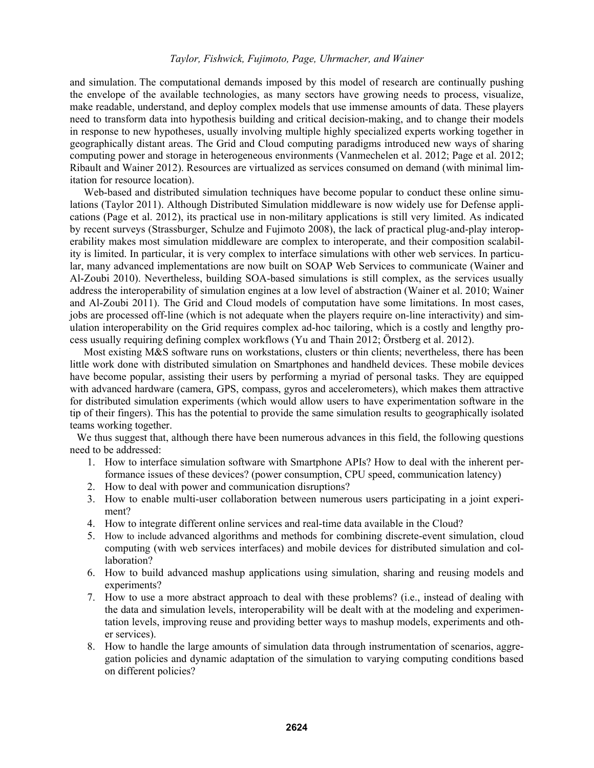and simulation. The computational demands imposed by this model of research are continually pushing the envelope of the available technologies, as many sectors have growing needs to process, visualize, make readable, understand, and deploy complex models that use immense amounts of data. These players need to transform data into hypothesis building and critical decision-making, and to change their models in response to new hypotheses, usually involving multiple highly specialized experts working together in geographically distant areas. The Grid and Cloud computing paradigms introduced new ways of sharing computing power and storage in heterogeneous environments (Vanmechelen et al. 2012; Page et al. 2012; Ribault and Wainer 2012). Resources are virtualized as services consumed on demand (with minimal limitation for resource location).

Web-based and distributed simulation techniques have become popular to conduct these online simulations (Taylor 2011). Although Distributed Simulation middleware is now widely use for Defense applications (Page et al. 2012), its practical use in non-military applications is still very limited. As indicated by recent surveys (Strassburger, Schulze and Fujimoto 2008), the lack of practical plug-and-play interoperability makes most simulation middleware are complex to interoperate, and their composition scalability is limited. In particular, it is very complex to interface simulations with other web services. In particular, many advanced implementations are now built on SOAP Web Services to communicate (Wainer and Al-Zoubi 2010). Nevertheless, building SOA-based simulations is still complex, as the services usually address the interoperability of simulation engines at a low level of abstraction (Wainer et al. 2010; Wainer and Al-Zoubi 2011). The Grid and Cloud models of computation have some limitations. In most cases, jobs are processed off-line (which is not adequate when the players require on-line interactivity) and simulation interoperability on the Grid requires complex ad-hoc tailoring, which is a costly and lengthy process usually requiring defining complex workflows (Yu and Thain 2012; Örstberg et al. 2012).

Most existing M&S software runs on workstations, clusters or thin clients; nevertheless, there has been little work done with distributed simulation on Smartphones and handheld devices. These mobile devices have become popular, assisting their users by performing a myriad of personal tasks. They are equipped with advanced hardware (camera, GPS, compass, gyros and accelerometers), which makes them attractive for distributed simulation experiments (which would allow users to have experimentation software in the tip of their fingers). This has the potential to provide the same simulation results to geographically isolated teams working together.

We thus suggest that, although there have been numerous advances in this field, the following questions need to be addressed:

- 1. How to interface simulation software with Smartphone APIs? How to deal with the inherent performance issues of these devices? (power consumption, CPU speed, communication latency)
- 2. How to deal with power and communication disruptions?
- 3. How to enable multi-user collaboration between numerous users participating in a joint experiment?
- 4. How to integrate different online services and real-time data available in the Cloud?
- 5. How to include advanced algorithms and methods for combining discrete-event simulation, cloud computing (with web services interfaces) and mobile devices for distributed simulation and collaboration?
- 6. How to build advanced mashup applications using simulation, sharing and reusing models and experiments?
- 7. How to use a more abstract approach to deal with these problems? (i.e., instead of dealing with the data and simulation levels, interoperability will be dealt with at the modeling and experimentation levels, improving reuse and providing better ways to mashup models, experiments and other services).
- 8. How to handle the large amounts of simulation data through instrumentation of scenarios, aggregation policies and dynamic adaptation of the simulation to varying computing conditions based on different policies?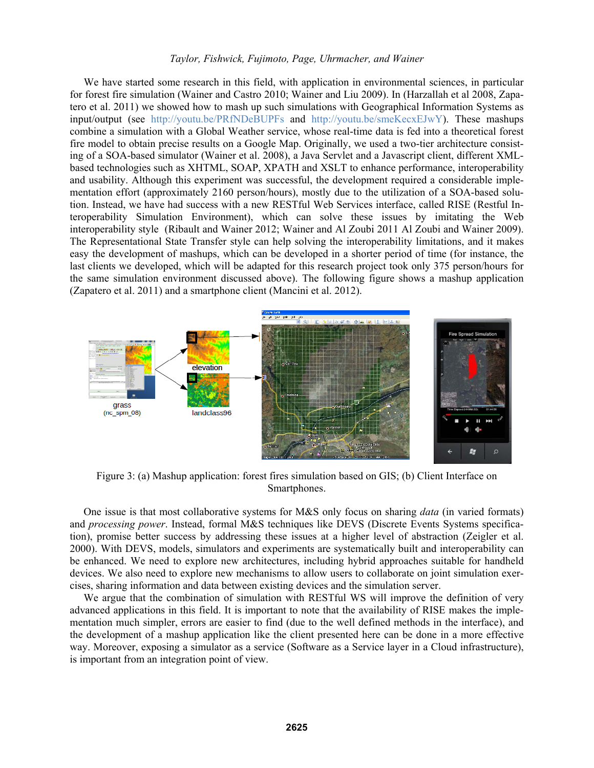We have started some research in this field, with application in environmental sciences, in particular for forest fire simulation (Wainer and Castro 2010; Wainer and Liu 2009). In (Harzallah et al 2008, Zapatero et al. 2011) we showed how to mash up such simulations with Geographical Information Systems as input/output (see http://youtu.be/PRfNDeBUPFs and http://youtu.be/smeKecxEJwY). These mashups combine a simulation with a Global Weather service, whose real-time data is fed into a theoretical forest fire model to obtain precise results on a Google Map. Originally, we used a two-tier architecture consisting of a SOA-based simulator (Wainer et al. 2008), a Java Servlet and a Javascript client, different XMLbased technologies such as XHTML, SOAP, XPATH and XSLT to enhance performance, interoperability and usability. Although this experiment was successful, the development required a considerable implementation effort (approximately 2160 person/hours), mostly due to the utilization of a SOA-based solution. Instead, we have had success with a new RESTful Web Services interface, called RISE (Restful Interoperability Simulation Environment), which can solve these issues by imitating the Web interoperability style (Ribault and Wainer 2012; Wainer and Al Zoubi 2011 Al Zoubi and Wainer 2009). The Representational State Transfer style can help solving the interoperability limitations, and it makes easy the development of mashups, which can be developed in a shorter period of time (for instance, the last clients we developed, which will be adapted for this research project took only 375 person/hours for the same simulation environment discussed above). The following figure shows a mashup application (Zapatero et al. 2011) and a smartphone client (Mancini et al. 2012).



Figure 3: (a) Mashup application: forest fires simulation based on GIS; (b) Client Interface on Smartphones.

One issue is that most collaborative systems for M&S only focus on sharing *data* (in varied formats) and *processing power*. Instead, formal M&S techniques like DEVS (Discrete Events Systems specification), promise better success by addressing these issues at a higher level of abstraction (Zeigler et al. 2000). With DEVS, models, simulators and experiments are systematically built and interoperability can be enhanced. We need to explore new architectures, including hybrid approaches suitable for handheld devices. We also need to explore new mechanisms to allow users to collaborate on joint simulation exercises, sharing information and data between existing devices and the simulation server.

We argue that the combination of simulation with RESTful WS will improve the definition of very advanced applications in this field. It is important to note that the availability of RISE makes the implementation much simpler, errors are easier to find (due to the well defined methods in the interface), and the development of a mashup application like the client presented here can be done in a more effective way. Moreover, exposing a simulator as a service (Software as a Service layer in a Cloud infrastructure), is important from an integration point of view.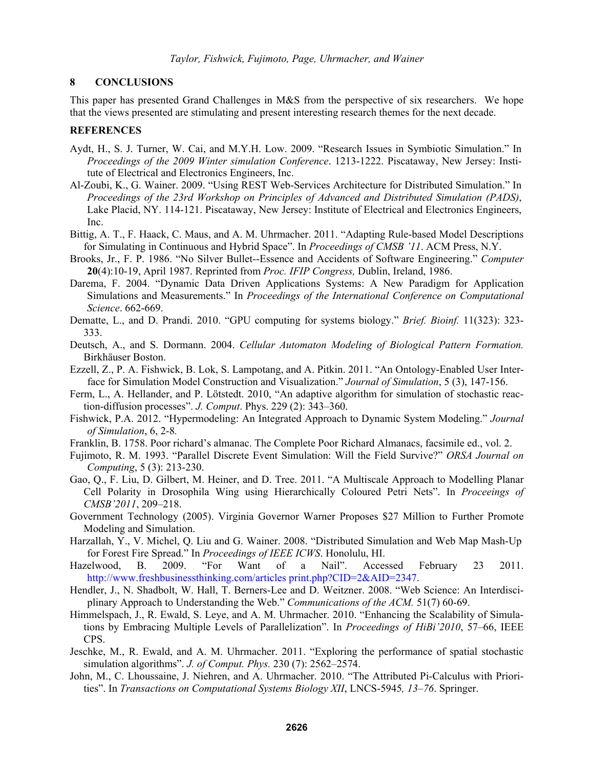### **8 CONCLUSIONS**

This paper has presented Grand Challenges in M&S from the perspective of six researchers. We hope that the views presented are stimulating and present interesting research themes for the next decade.

#### **REFERENCES**

- Aydt, H., S. J. Turner, W. Cai, and M.Y.H. Low. 2009. "Research Issues in Symbiotic Simulation." In *Proceedings of the 2009 Winter simulation Conference*. 1213-1222. Piscataway, New Jersey: Institute of Electrical and Electronics Engineers, Inc.
- Al-Zoubi, K., G. Wainer. 2009. "Using REST Web-Services Architecture for Distributed Simulation." In *Proceedings of the 23rd Workshop on Principles of Advanced and Distributed Simulation (PADS)*, Lake Placid, NY. 114-121. Piscataway, New Jersey: Institute of Electrical and Electronics Engineers, Inc.
- Bittig, A. T., F. Haack, C. Maus, and A. M. Uhrmacher. 2011. "Adapting Rule-based Model Descriptions for Simulating in Continuous and Hybrid Space". In *Proceedings of CMSB '11*. ACM Press, N.Y.
- Brooks, Jr., F. P. 1986. "No Silver Bullet--Essence and Accidents of Software Engineering." *Computer* **20**(4):10-19, April 1987. Reprinted from *Proc. IFIP Congress,* Dublin, Ireland, 1986.
- Darema, F. 2004. "Dynamic Data Driven Applications Systems: A New Paradigm for Application Simulations and Measurements." In *Proceedings of the International Conference on Computational Science*. 662-669.
- Dematte, L., and D. Prandi. 2010. "GPU computing for systems biology." *Brief. Bioinf.* 11(323): 323- 333.
- Deutsch, A., and S. Dormann. 2004. *Cellular Automaton Modeling of Biological Pattern Formation.* Birkhäuser Boston.
- Ezzell, Z., P. A. Fishwick, B. Lok, S. Lampotang, and A. Pitkin. 2011. "An Ontology-Enabled User Interface for Simulation Model Construction and Visualization." *Journal of Simulation*, 5 (3), 147-156.
- Ferm, L., A. Hellander, and P. Lötstedt. 2010, "An adaptive algorithm for simulation of stochastic reaction-diffusion processes". *J. Comput*. Phys. 229 (2): 343–360.
- Fishwick, P.A. 2012. "Hypermodeling: An Integrated Approach to Dynamic System Modeling." *Journal of Simulation*, 6, 2-8*.*
- Franklin, B. 1758. Poor richard's almanac. The Complete Poor Richard Almanacs, facsimile ed., vol. 2.
- Fujimoto, R. M. 1993. "Parallel Discrete Event Simulation: Will the Field Survive?" *ORSA Journal on Computing*, 5 (3): 213-230.
- Gao, Q., F. Liu, D. Gilbert, M. Heiner, and D. Tree. 2011. "A Multiscale Approach to Modelling Planar Cell Polarity in Drosophila Wing using Hierarchically Coloured Petri Nets". In *Proceeings of CMSB'2011*, 209–218.
- Government Technology (2005). Virginia Governor Warner Proposes \$27 Million to Further Promote Modeling and Simulation.
- Harzallah, Y., V. Michel, Q. Liu and G. Wainer. 2008. "Distributed Simulation and Web Map Mash-Up for Forest Fire Spread." In *Proceedings of IEEE ICWS*. Honolulu, HI.
- Hazelwood, B. 2009. "For Want of a Nail". Accessed February 23 2011. http://www.freshbusinessthinking.com/articles print.php?CID=2&AID=2347.
- Hendler, J., N. Shadbolt, W. Hall, T. Berners-Lee and D. Weitzner. 2008. "Web Science: An Interdisciplinary Approach to Understanding the Web." *Communications of the ACM.* 51(7) 60-69.
- Himmelspach, J., R. Ewald, S. Leye, and A. M. Uhrmacher. 2010. "Enhancing the Scalability of Simulations by Embracing Multiple Levels of Parallelization". In *Proceedings of HiBi'2010*, 57–66, IEEE CPS.
- Jeschke, M., R. Ewald, and A. M. Uhrmacher. 2011. "Exploring the performance of spatial stochastic simulation algorithms". *J. of Comput. Phys.* 230 (7): 2562–2574.
- John, M., C. Lhoussaine, J. Niehren, and A. Uhrmacher. 2010. "The Attributed Pi-Calculus with Priorities". In *Transactions on Computational Systems Biology XII*, LNCS-5945*, 13–76*. Springer.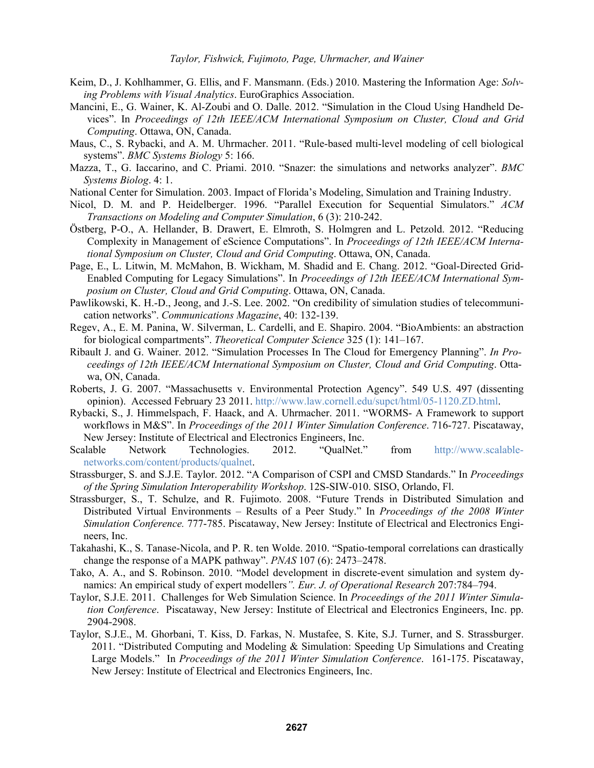- Keim, D., J. Kohlhammer, G. Ellis, and F. Mansmann. (Eds.) 2010. Mastering the Information Age: *Solving Problems with Visual Analytics*. EuroGraphics Association.
- Mancini, E., G. Wainer, K. Al-Zoubi and O. Dalle. 2012. "Simulation in the Cloud Using Handheld Devices". In *Proceedings of 12th IEEE/ACM International Symposium on Cluster, Cloud and Grid Computing*. Ottawa, ON, Canada.
- Maus, C., S. Rybacki, and A. M. Uhrmacher. 2011. "Rule-based multi-level modeling of cell biological systems". *BMC Systems Biology* 5: 166.
- Mazza, T., G. Iaccarino, and C. Priami. 2010. "Snazer: the simulations and networks analyzer". *BMC Systems Biolog*. 4: 1.
- National Center for Simulation. 2003. Impact of Florida's Modeling, Simulation and Training Industry.
- Nicol, D. M. and P. Heidelberger. 1996. "Parallel Execution for Sequential Simulators." *ACM Transactions on Modeling and Computer Simulation*, 6 (3): 210-242.
- Östberg, P-O., A. Hellander, B. Drawert, E. Elmroth, S. Holmgren and L. Petzold. 2012. "Reducing Complexity in Management of eScience Computations". In *Proceedings of 12th IEEE/ACM International Symposium on Cluster, Cloud and Grid Computing*. Ottawa, ON, Canada.
- Page, E., L. Litwin, M. McMahon, B. Wickham, M. Shadid and E. Chang. 2012. "Goal-Directed Grid-Enabled Computing for Legacy Simulations". In *Proceedings of 12th IEEE/ACM International Symposium on Cluster, Cloud and Grid Computing*. Ottawa, ON, Canada.
- Pawlikowski, K. H.-D., Jeong, and J.-S. Lee. 2002. "On credibility of simulation studies of telecommunication networks". *Communications Magazine*, 40: 132-139.
- Regev, A., E. M. Panina, W. Silverman, L. Cardelli, and E. Shapiro. 2004. "BioAmbients: an abstraction for biological compartments". *Theoretical Computer Science* 325 (1): 141–167.
- Ribault J. and G. Wainer. 2012. "Simulation Processes In The Cloud for Emergency Planning". *In Proceedings of 12th IEEE/ACM International Symposium on Cluster, Cloud and Grid Computing*. Ottawa, ON, Canada.
- Roberts, J. G. 2007. "Massachusetts v. Environmental Protection Agency". 549 U.S. 497 (dissenting opinion). Accessed February 23 2011. http://www.law.cornell.edu/supct/html/05-1120.ZD.html.
- Rybacki, S., J. Himmelspach, F. Haack, and A. Uhrmacher. 2011. "WORMS- A Framework to support workflows in M&S". In *Proceedings of the 2011 Winter Simulation Conference*. 716-727. Piscataway, New Jersey: Institute of Electrical and Electronics Engineers, Inc.
- Scalable Network Technologies. 2012. "QualNet." from http://www.scalablenetworks.com/content/products/qualnet.
- Strassburger, S. and S.J.E. Taylor. 2012. "A Comparison of CSPI and CMSD Standards." In *Proceedings of the Spring Simulation Interoperability Workshop*. 12S-SIW-010. SISO, Orlando, Fl.
- Strassburger, S., T. Schulze, and R. Fujimoto. 2008. "Future Trends in Distributed Simulation and Distributed Virtual Environments – Results of a Peer Study." In *Proceedings of the 2008 Winter Simulation Conference.* 777-785. Piscataway, New Jersey: Institute of Electrical and Electronics Engineers, Inc.
- Takahashi, K., S. Tanase-Nicola, and P. R. ten Wolde. 2010. "Spatio-temporal correlations can drastically change the response of a MAPK pathway". *PNAS* 107 (6): 2473–2478.
- Tako, A. A., and S. Robinson. 2010. "Model development in discrete-event simulation and system dynamics: An empirical study of expert modellers*". Eur. J. of Operational Research* 207:784–794.
- Taylor, S.J.E. 2011. Challenges for Web Simulation Science. In *Proceedings of the 2011 Winter Simulation Conference*. Piscataway, New Jersey: Institute of Electrical and Electronics Engineers, Inc. pp. 2904-2908.
- Taylor, S.J.E., M. Ghorbani, T. Kiss, D. Farkas, N. Mustafee, S. Kite, S.J. Turner, and S. Strassburger. 2011. "Distributed Computing and Modeling & Simulation: Speeding Up Simulations and Creating Large Models." In *Proceedings of the 2011 Winter Simulation Conference*. 161-175. Piscataway, New Jersey: Institute of Electrical and Electronics Engineers, Inc.